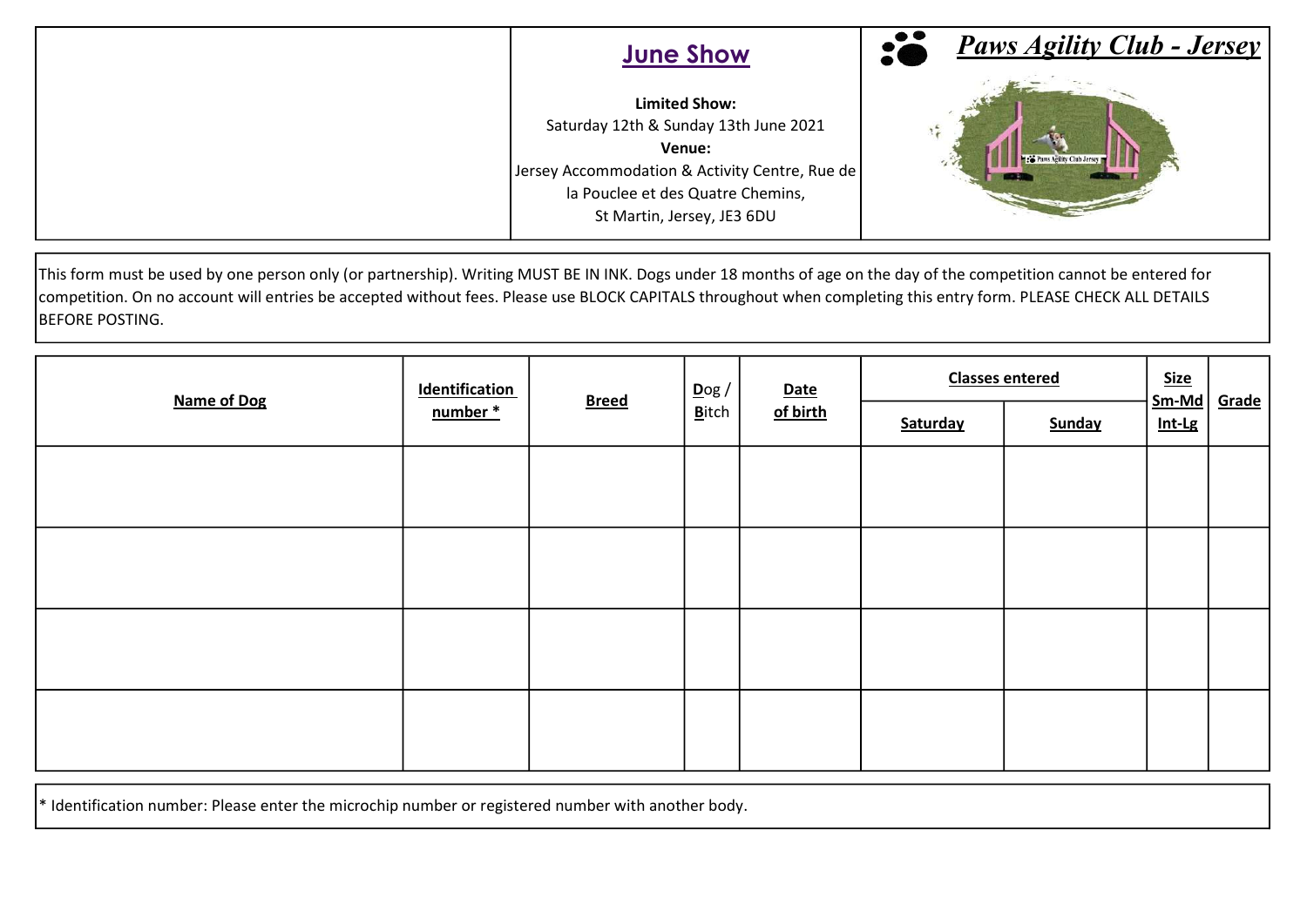| <b>June Show</b>                                                                                                                                                                             | <b>Paws Agility Club - Jersey</b> |
|----------------------------------------------------------------------------------------------------------------------------------------------------------------------------------------------|-----------------------------------|
| <b>Limited Show:</b><br>Saturday 12th & Sunday 13th June 2021<br>Venue:<br>Jersey Accommodation & Activity Centre, Rue de<br>la Pouclee et des Quatre Chemins,<br>St Martin, Jersey, JE3 6DU | Paws Agility Club Jersey          |

This form must be used by one person only (or partnership). Writing MUST BE IN INK. Dogs under 18 months of age on the day of the competition cannot be entered for competition. On no account will entries be accepted without fees. Please use BLOCK CAPITALS throughout when completing this entry form. PLEASE CHECK ALL DETAILS BEFORE POSTING.

| <b>Name of Dog</b> | <b>Identification</b><br>number* | <b>Breed</b> | $\overline{D}$ og /<br><b>B</b> itch | <b>Date</b><br>of birth | <b>Classes entered</b> |        | <b>Size</b>       |              |
|--------------------|----------------------------------|--------------|--------------------------------------|-------------------------|------------------------|--------|-------------------|--------------|
|                    |                                  |              |                                      |                         | Saturday               | Sunday | $Sm-Md$<br>Int-Lg | <b>Grade</b> |
|                    |                                  |              |                                      |                         |                        |        |                   |              |
|                    |                                  |              |                                      |                         |                        |        |                   |              |
|                    |                                  |              |                                      |                         |                        |        |                   |              |
|                    |                                  |              |                                      |                         |                        |        |                   |              |
|                    |                                  |              |                                      |                         |                        |        |                   |              |
|                    |                                  |              |                                      |                         |                        |        |                   |              |
|                    |                                  |              |                                      |                         |                        |        |                   |              |
|                    |                                  |              |                                      |                         |                        |        |                   |              |

 $*$  Identification number: Please enter the microchip number or registered number with another body.